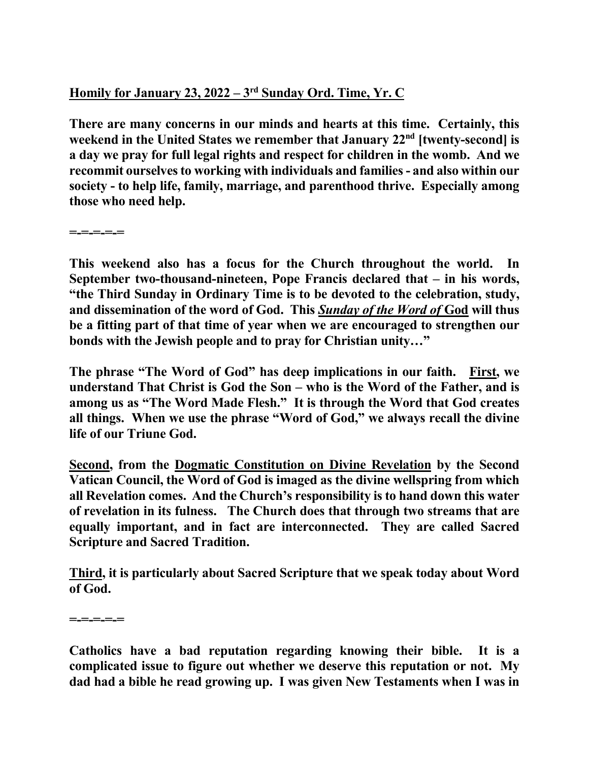## **Homily for January 23, 2022 – 3rd Sunday Ord. Time, Yr. C**

**There are many concerns in our minds and hearts at this time. Certainly, this**  weekend in the United States we remember that January 22<sup>nd</sup> [twenty-second] is **a day we pray for full legal rights and respect for children in the womb. And we recommit ourselves to working with individuals and families - and also within our society - to help life, family, marriage, and parenthood thrive. Especially among those who need help.** 

**=-=-=-=-=** 

**This weekend also has a focus for the Church throughout the world. In September two-thousand-nineteen, Pope Francis declared that – in his words, "the Third Sunday in Ordinary Time is to be devoted to the celebration, study, and dissemination of the word of God. This** *Sunday of the Word of* **God will thus be a fitting part of that time of year when we are encouraged to strengthen our bonds with the Jewish people and to pray for Christian unity…"** 

**The phrase "The Word of God" has deep implications in our faith. First, we understand That Christ is God the Son – who is the Word of the Father, and is among us as "The Word Made Flesh." It is through the Word that God creates all things. When we use the phrase "Word of God," we always recall the divine life of our Triune God.** 

**Second, from the Dogmatic Constitution on Divine Revelation by the Second Vatican Council, the Word of God is imaged as the divine wellspring from which all Revelation comes. And the Church's responsibility is to hand down this water of revelation in its fulness. The Church does that through two streams that are equally important, and in fact are interconnected. They are called Sacred Scripture and Sacred Tradition.** 

**Third, it is particularly about Sacred Scripture that we speak today about Word of God.** 

**=-=-=-=-=** 

**Catholics have a bad reputation regarding knowing their bible. It is a complicated issue to figure out whether we deserve this reputation or not. My dad had a bible he read growing up. I was given New Testaments when I was in**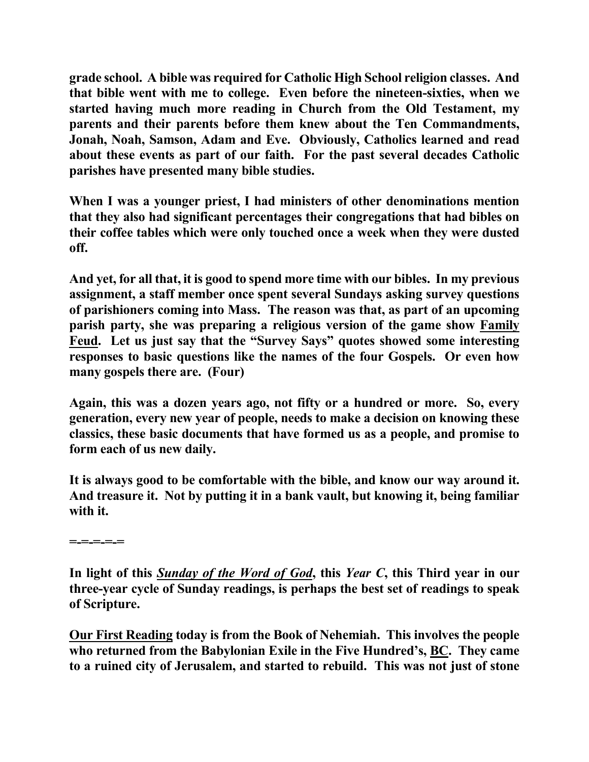**grade school. A bible was required for Catholic High School religion classes. And that bible went with me to college. Even before the nineteen-sixties, when we started having much more reading in Church from the Old Testament, my parents and their parents before them knew about the Ten Commandments, Jonah, Noah, Samson, Adam and Eve. Obviously, Catholics learned and read about these events as part of our faith. For the past several decades Catholic parishes have presented many bible studies.** 

**When I was a younger priest, I had ministers of other denominations mention that they also had significant percentages their congregations that had bibles on their coffee tables which were only touched once a week when they were dusted off.** 

**And yet, for all that, it is good to spend more time with our bibles. In my previous assignment, a staff member once spent several Sundays asking survey questions of parishioners coming into Mass. The reason was that, as part of an upcoming parish party, she was preparing a religious version of the game show Family Feud. Let us just say that the "Survey Says" quotes showed some interesting responses to basic questions like the names of the four Gospels. Or even how many gospels there are. (Four)** 

**Again, this was a dozen years ago, not fifty or a hundred or more. So, every generation, every new year of people, needs to make a decision on knowing these classics, these basic documents that have formed us as a people, and promise to form each of us new daily.** 

**It is always good to be comfortable with the bible, and know our way around it. And treasure it. Not by putting it in a bank vault, but knowing it, being familiar with it.** 

**=-=-=-=-=** 

**In light of this** *Sunday of the Word of God***, this** *Year C***, this Third year in our three-year cycle of Sunday readings, is perhaps the best set of readings to speak of Scripture.** 

**Our First Reading today is from the Book of Nehemiah. This involves the people who returned from the Babylonian Exile in the Five Hundred's, BC. They came to a ruined city of Jerusalem, and started to rebuild. This was not just of stone**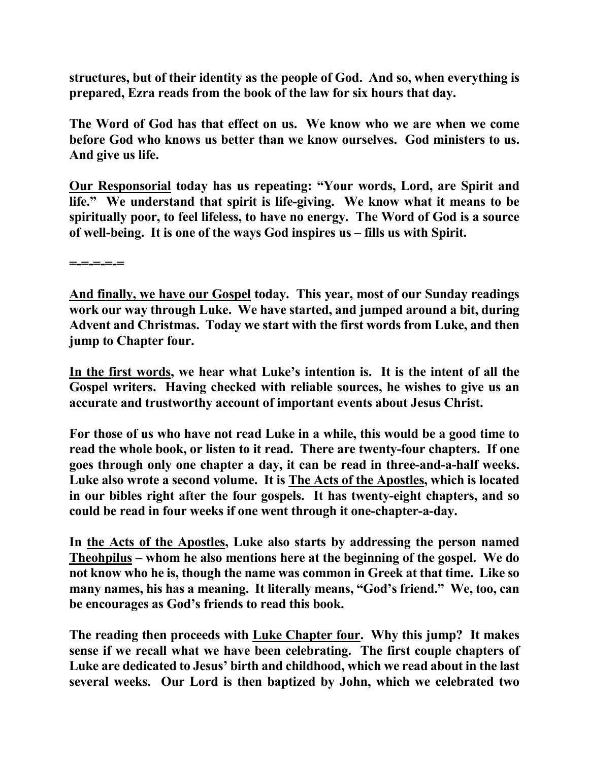**structures, but of their identity as the people of God. And so, when everything is prepared, Ezra reads from the book of the law for six hours that day.** 

**The Word of God has that effect on us. We know who we are when we come before God who knows us better than we know ourselves. God ministers to us. And give us life.** 

**Our Responsorial today has us repeating: "Your words, Lord, are Spirit and life." We understand that spirit is life-giving. We know what it means to be spiritually poor, to feel lifeless, to have no energy. The Word of God is a source of well-being. It is one of the ways God inspires us – fills us with Spirit.** 

**=-=-=-=-=** 

**And finally, we have our Gospel today. This year, most of our Sunday readings work our way through Luke. We have started, and jumped around a bit, during Advent and Christmas. Today we start with the first words from Luke, and then jump to Chapter four.** 

**In the first words, we hear what Luke's intention is. It is the intent of all the Gospel writers. Having checked with reliable sources, he wishes to give us an accurate and trustworthy account of important events about Jesus Christ.** 

**For those of us who have not read Luke in a while, this would be a good time to read the whole book, or listen to it read. There are twenty-four chapters. If one goes through only one chapter a day, it can be read in three-and-a-half weeks. Luke also wrote a second volume. It is The Acts of the Apostles, which is located in our bibles right after the four gospels. It has twenty-eight chapters, and so could be read in four weeks if one went through it one-chapter-a-day.** 

**In the Acts of the Apostles, Luke also starts by addressing the person named Theohpilus – whom he also mentions here at the beginning of the gospel. We do not know who he is, though the name was common in Greek at that time. Like so many names, his has a meaning. It literally means, "God's friend." We, too, can be encourages as God's friends to read this book.** 

**The reading then proceeds with Luke Chapter four. Why this jump? It makes sense if we recall what we have been celebrating. The first couple chapters of Luke are dedicated to Jesus' birth and childhood, which we read about in the last several weeks. Our Lord is then baptized by John, which we celebrated two**